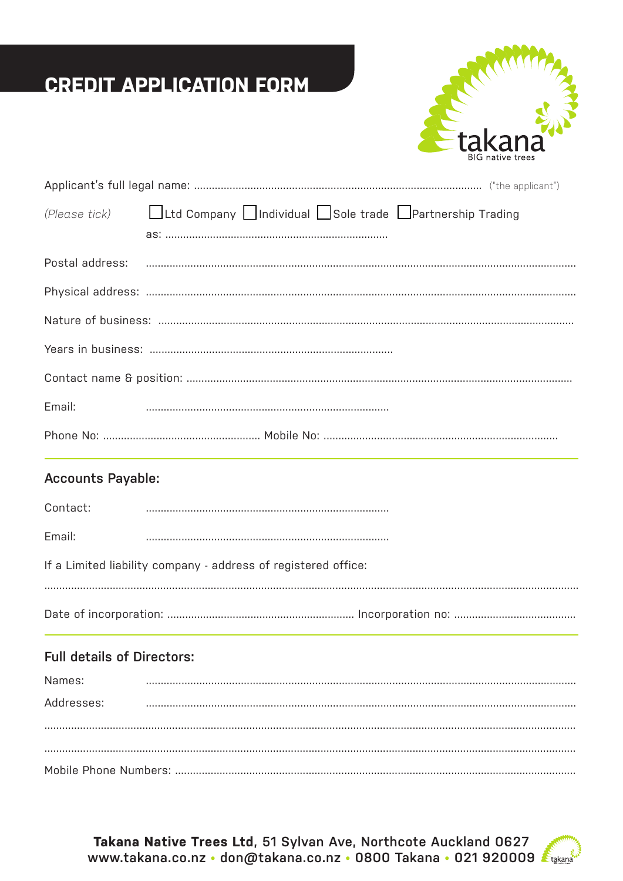# **CREDIT APPLICATION FORM**



|        | (Please tick) Ltd Company Individual Sole trade IPartnership Trading |  |  |
|--------|----------------------------------------------------------------------|--|--|
|        |                                                                      |  |  |
|        |                                                                      |  |  |
|        |                                                                      |  |  |
|        |                                                                      |  |  |
|        |                                                                      |  |  |
|        |                                                                      |  |  |
| Email: |                                                                      |  |  |
|        |                                                                      |  |  |

## **Accounts Payable:**

 $\sim$   $\sim$   $\sim$ 

| Contact:                                                       |  |  |
|----------------------------------------------------------------|--|--|
| Email:                                                         |  |  |
| If a Limited liability company - address of registered office: |  |  |
|                                                                |  |  |

## **Full details of Directors:**

| Names:     |  |  |
|------------|--|--|
| Addresses: |  |  |
|            |  |  |
|            |  |  |
|            |  |  |

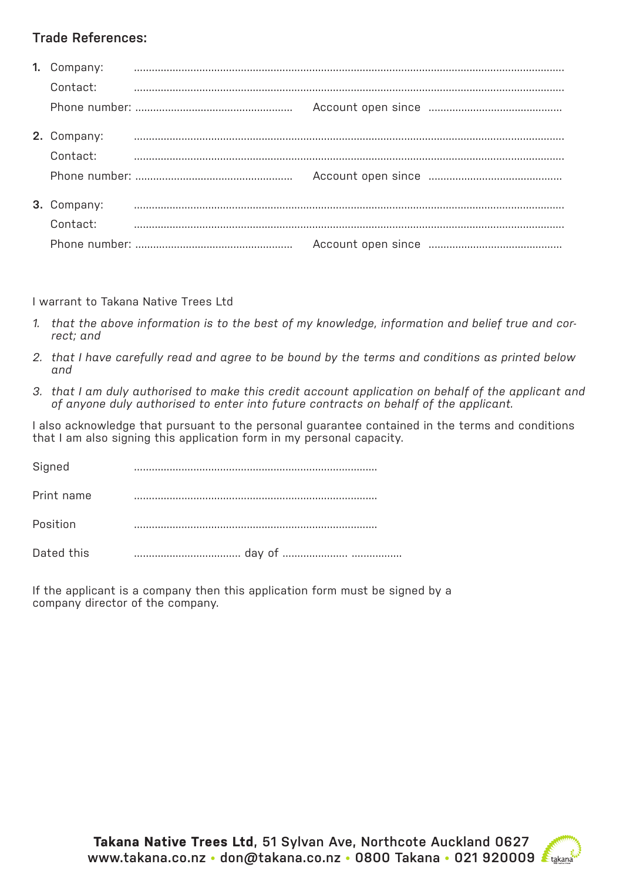## **Trade References:**

| 1. Company: |  |  |
|-------------|--|--|
| Contact:    |  |  |
|             |  |  |
| 2. Company: |  |  |
| Contact:    |  |  |
|             |  |  |
| 3. Company: |  |  |
| Contact:    |  |  |
|             |  |  |

I warrant to Takana Native Trees Ltd

- *1. that the above information is to the best of my knowledge, information and belief true and correct; and*
- *2. that I have carefully read and agree to be bound by the terms and conditions as printed below and*
- *3. that I am duly authorised to make this credit account application on behalf of the applicant and of anyone duly authorised to enter into future contracts on behalf of the applicant.*

I also acknowledge that pursuant to the personal guarantee contained in the terms and conditions that I am also signing this application form in my personal capacity.

| Signed     |  |
|------------|--|
| Print name |  |
| Position   |  |
| Dated this |  |

If the applicant is a company then this application form must be signed by a company director of the company.

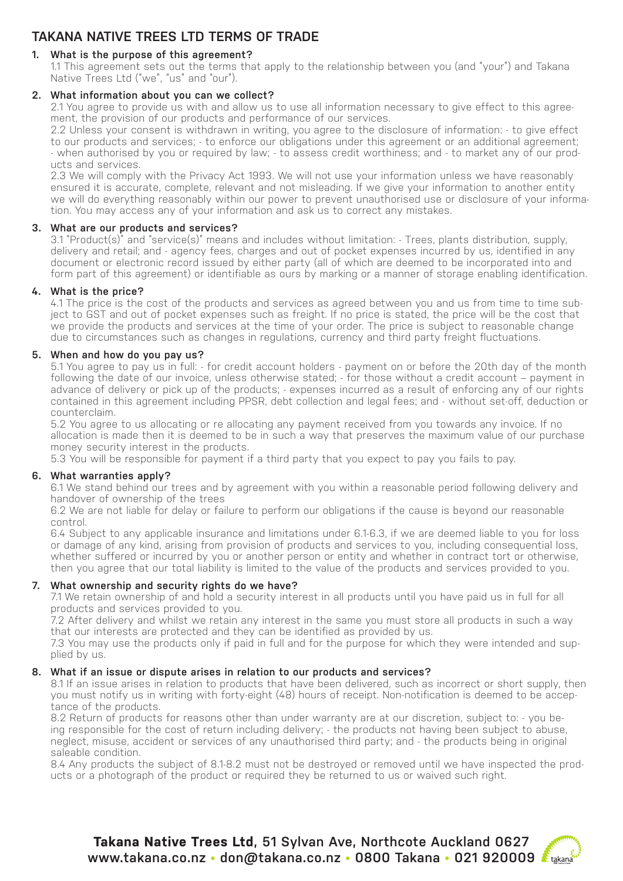## **TAKANA NATIVE TREES LTD TERMS OF TRADE**

#### **1. What is the purpose of this agreement?**

1.1 This agreement sets out the terms that apply to the relationship between you (and "your") and Takana Native Trees Ltd ("we", "us" and "our").

#### **2. What information about you can we collect?**

2.1 You agree to provide us with and allow us to use all information necessary to give effect to this agreement, the provision of our products and performance of our services.

2.2 Unless your consent is withdrawn in writing, you agree to the disclosure of information: - to give effect to our products and services; - to enforce our obligations under this agreement or an additional agreement; - when authorised by you or required by law; - to assess credit worthiness; and - to market any of our products and services.

2.3 We will comply with the Privacy Act 1993. We will not use your information unless we have reasonably ensured it is accurate, complete, relevant and not misleading. If we give your information to another entity we will do everything reasonably within our power to prevent unauthorised use or disclosure of your information. You may access any of your information and ask us to correct any mistakes.

#### **3. What are our products and services?**

3.1 "Product(s)" and "service(s)" means and includes without limitation: - Trees, plants distribution, supply, delivery and retail; and - agency fees, charges and out of pocket expenses incurred by us, identified in any document or electronic record issued by either party (all of which are deemed to be incorporated into and form part of this agreement) or identifiable as ours by marking or a manner of storage enabling identification.

#### **4. What is the price?**

4.1 The price is the cost of the products and services as agreed between you and us from time to time subject to GST and out of pocket expenses such as freight. If no price is stated, the price will be the cost that we provide the products and services at the time of your order. The price is subject to reasonable change due to circumstances such as changes in regulations, currency and third party freight fluctuations.

#### **5. When and how do you pay us?**

5.1 You agree to pay us in full: - for credit account holders - payment on or before the 20th day of the month following the date of our invoice, unless otherwise stated; - for those without a credit account – payment in advance of delivery or pick up of the products; - expenses incurred as a result of enforcing any of our rights contained in this agreement including PPSR, debt collection and legal fees; and - without set-off, deduction or counterclaim.

5.2 You agree to us allocating or re allocating any payment received from you towards any invoice. If no allocation is made then it is deemed to be in such a way that preserves the maximum value of our purchase money security interest in the products.

5.3 You will be responsible for payment if a third party that you expect to pay you fails to pay.

#### **6. What warranties apply?**

6.1 We stand behind our trees and by agreement with you within a reasonable period following delivery and handover of ownership of the trees

6.2 We are not liable for delay or failure to perform our obligations if the cause is beyond our reasonable control.

6.4 Subject to any applicable insurance and limitations under 6.1-6.3, if we are deemed liable to you for loss or damage of any kind, arising from provision of products and services to you, including consequential loss, whether suffered or incurred by you or another person or entity and whether in contract tort or otherwise, then you agree that our total liability is limited to the value of the products and services provided to you.

#### **7. What ownership and security rights do we have?**

7.1 We retain ownership of and hold a security interest in all products until you have paid us in full for all products and services provided to you.

7.2 After delivery and whilst we retain any interest in the same you must store all products in such a way that our interests are protected and they can be identified as provided by us.

7.3 You may use the products only if paid in full and for the purpose for which they were intended and supplied by us.

#### **8. What if an issue or dispute arises in relation to our products and services?**

8.1 If an issue arises in relation to products that have been delivered, such as incorrect or short supply, then you must notify us in writing with forty-eight (48) hours of receipt. Non-notification is deemed to be acceptance of the products.

8.2 Return of products for reasons other than under warranty are at our discretion, subject to: - you being responsible for the cost of return including delivery; - the products not having been subject to abuse, neglect, misuse, accident or services of any unauthorised third party; and - the products being in original saleable condition.

8.4 Any products the subject of 8.1-8.2 must not be destroyed or removed until we have inspected the products or a photograph of the product or required they be returned to us or waived such right.